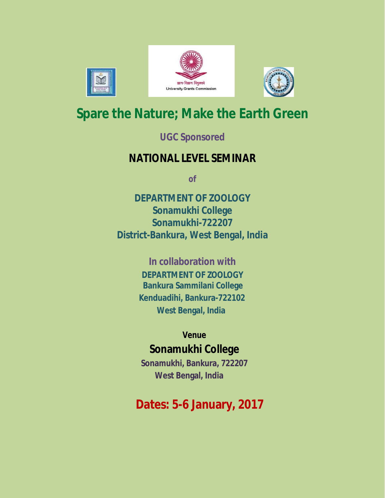





# **Spare the Nature; Make the Earth Green**

### **UGC Sponsored**

## **NATIONAL LEVEL SEMINAR**

**of**

**DEPARTMENT OF ZOOLOGY Sonamukhi College Sonamukhi-722207 District-Bankura, West Bengal, India**

> **In collaboration with DEPARTMENT OF ZOOLOGY Bankura Sammilani College Kenduadihi, Bankura-722102 West Bengal, India**

## **Venue Sonamukhi College**

**Sonamukhi, Bankura, 722207 West Bengal, India**

# **Dates: 5-6 January, 2017**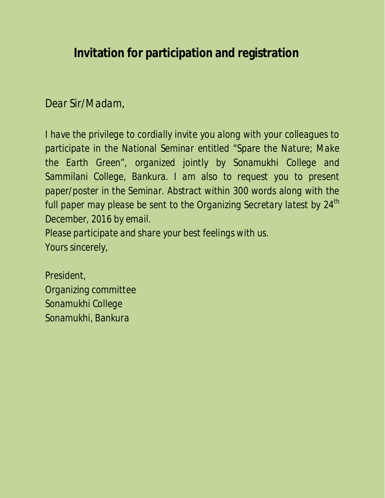## **Invitation for participation and registration**

### *Dear Sir/Madam,*

*I have the privilege to cordially invite you along with your colleagues to participate in the National Seminar entitled "Spare the Nature; Make the Earth Green", organized jointly by Sonamukhi College and Sammilani College, Bankura. I am also to request you to present paper/poster in the Seminar. Abstract within 300 words along with the full paper may please be sent to the Organizing Secretary latest by 24th December, 2016 by email. Please participate and share your best feelings with us.*

*Yours sincerely,*

*President, Organizing committee Sonamukhi College Sonamukhi, Bankura*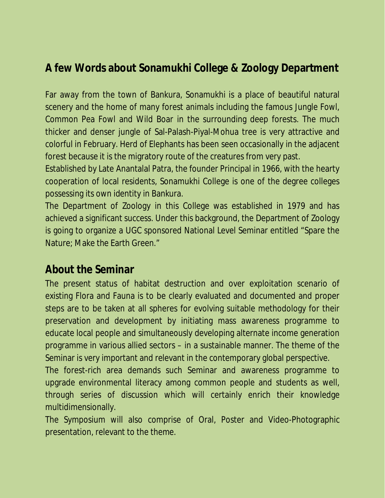## **A few Words about Sonamukhi College & Zoology Department**

Far away from the town of Bankura, Sonamukhi is a place of beautiful natural scenery and the home of many forest animals including the famous Jungle Fowl, Common Pea Fowl and Wild Boar in the surrounding deep forests. The much thicker and denser jungle of Sal-Palash-Piyal-Mohua tree is very attractive and colorful in February. Herd of Elephants has been seen occasionally in the adjacent forest because it is the migratory route of the creatures from very past.

Established by Late Anantalal Patra, the founder Principal in 1966, with the hearty cooperation of local residents, Sonamukhi College is one of the degree colleges possessing its own identity in Bankura.

The Department of Zoology in this College was established in 1979 and has achieved a significant success. Under this background, the Department of Zoology is going to organize a UGC sponsored National Level Seminar entitled "Spare the Nature; Make the Earth Green."

#### **About the Seminar**

The present status of habitat destruction and over exploitation scenario of existing Flora and Fauna is to be clearly evaluated and documented and proper steps are to be taken at all spheres for evolving suitable methodology for their preservation and development by initiating mass awareness programme to educate local people and simultaneously developing alternate income generation programme in various allied sectors – in a sustainable manner. The theme of the Seminar is very important and relevant in the contemporary global perspective.

The forest-rich area demands such Seminar and awareness programme to upgrade environmental literacy among common people and students as well, through series of discussion which will certainly enrich their knowledge multidimensionally.

The Symposium will also comprise of Oral, Poster and Video-Photographic presentation, relevant to the theme.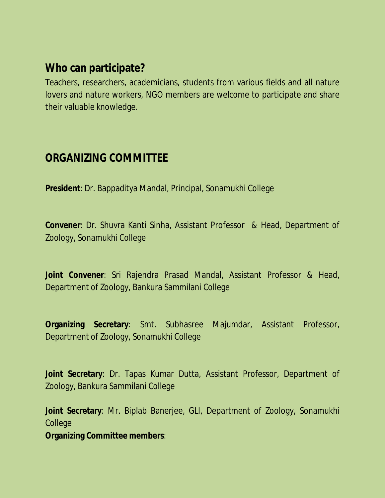#### **Who can participate?**

Teachers, researchers, academicians, students from various fields and all nature lovers and nature workers, NGO members are welcome to participate and share their valuable knowledge.

#### **ORGANIZING COMMITTEE**

**President**: Dr. Bappaditya Mandal, Principal, Sonamukhi College

**Convener**: Dr. Shuvra Kanti Sinha, Assistant Professor & Head, Department of Zoology, Sonamukhi College

**Joint Convener**: Sri Rajendra Prasad Mandal, Assistant Professor & Head, Department of Zoology, Bankura Sammilani College

**Organizing Secretary**: Smt. Subhasree Majumdar, Assistant Professor, Department of Zoology, Sonamukhi College

**Joint Secretary**: Dr. Tapas Kumar Dutta, Assistant Professor, Department of Zoology, Bankura Sammilani College

**Joint Secretary**: Mr. Biplab Banerjee, GLI, Department of Zoology, Sonamukhi College

**Organizing Committee members**: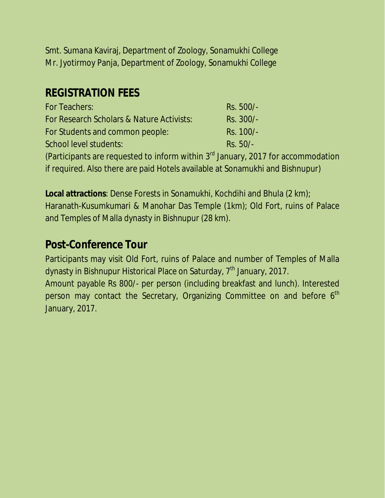Smt. Sumana Kaviraj, Department of Zoology, Sonamukhi College Mr. Jyotirmoy Panja, Department of Zoology, Sonamukhi College

#### **REGISTRATION FEES**

| For Teachers:                             | Rs. 500/- |
|-------------------------------------------|-----------|
| For Research Scholars & Nature Activists: | Rs. 300/- |
| For Students and common people:           | Rs. 100/- |
| School level students:                    | Rs. 50/-  |
|                                           |           |

(Participants are requested to inform within 3rd January, 2017 for accommodation if required. Also there are paid Hotels available at Sonamukhi and Bishnupur)

**Local attractions**: Dense Forests in Sonamukhi, Kochdihi and Bhula (2 km); Haranath-Kusumkumari & Manohar Das Temple (1km); Old Fort, ruins of Palace and Temples of Malla dynasty in Bishnupur (28 km).

#### **Post-Conference Tour**

Participants may visit Old Fort, ruins of Palace and number of Temples of Malla dynasty in Bishnupur Historical Place on Saturday, 7<sup>th</sup> January, 2017.

Amount payable Rs 800/- per person (including breakfast and lunch). Interested person may contact the Secretary, Organizing Committee on and before 6<sup>th</sup> January, 2017.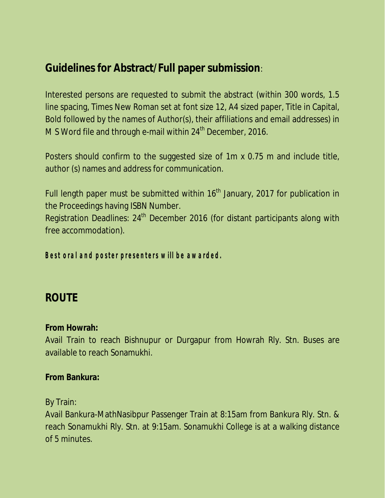### **Guidelines for Abstract/Full paper submission**:

Interested persons are requested to submit the abstract (within 300 words, 1.5 line spacing, Times New Roman set at font size 12, A4 sized paper, Title in Capital, Bold followed by the names of Author(s), their affiliations and email addresses) in M S Word file and through e-mail within  $24<sup>th</sup>$  December, 2016.

Posters should confirm to the suggested size of 1m x 0.75 m and include title, author (s) names and address for communication.

Full length paper must be submitted within  $16<sup>th</sup>$  January, 2017 for publication in the Proceedings having ISBN Number.

Registration Deadlines: 24<sup>th</sup> December 2016 (for distant participants along with free accommodation).

*Best oral and poster presenters will be awarded.*

#### **ROUTE**

**From Howrah:**

Avail Train to reach Bishnupur or Durgapur from Howrah Rly. Stn. Buses are available to reach Sonamukhi.

**From Bankura:**

By Train:

Avail Bankura-MathNasibpur Passenger Train at 8:15am from Bankura Rly. Stn. & reach Sonamukhi Rly. Stn. at 9:15am. Sonamukhi College is at a walking distance of 5 minutes.